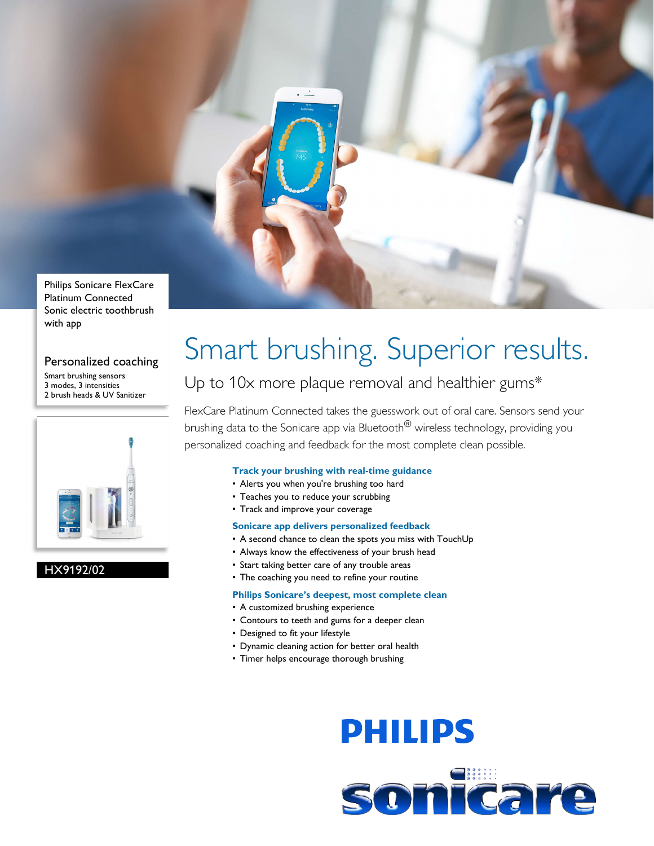

Sonic electric toothbrush with app

#### Personalized coaching

Smart brushing sensors 3 modes, 3 intensities 2 brush heads & UV Sanitizer



#### HX9192/02

## Smart brushing. Superior results.

### Up to 10x more plaque removal and healthier gums\*

FlexCare Platinum Connected takes the guesswork out of oral care. Sensors send your brushing data to the Sonicare app via Bluetooth<sup>®</sup> wireless technology, providing you personalized coaching and feedback for the most complete clean possible.

#### **Track your brushing with real-time guidance**

- Alerts you when you're brushing too hard
- Teaches you to reduce your scrubbing
- Track and improve your coverage

#### **Sonicare app delivers personalized feedback**

- A second chance to clean the spots you miss with TouchUp
- Always know the effectiveness of your brush head
- Start taking better care of any trouble areas
- The coaching you need to refine your routine

#### **Philips Sonicare's deepest, most complete clean**

- A customized brushing experience
- Contours to teeth and gums for a deeper clean
- Designed to fit your lifestyle
- Dynamic cleaning action for better oral health
- Timer helps encourage thorough brushing

# **PHILIPS**

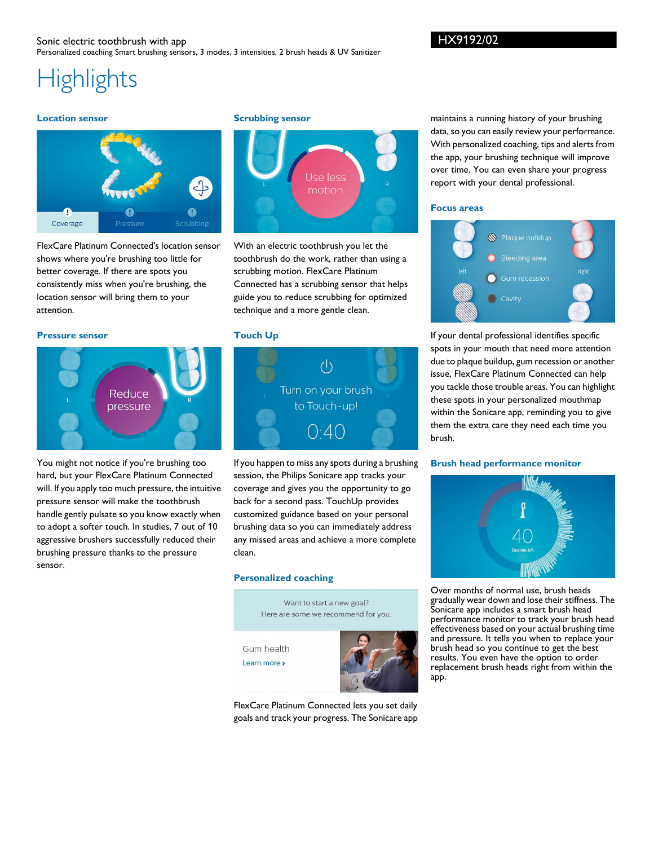### **Highlights**

#### **Location sensor**



FlexCare Platinum Connected's location sensor shows where you're brushing too little for better coverage. If there are spots you consistently miss when you're brushing, the location sensor will bring them to your attention.

#### **Pressure sensor**



You might not notice if you're brushing too hard, but your FlexCare Platinum Connected will. If you apply too much pressure, the intuitive pressure sensor will make the toothbrush handle gently pulsate so you know exactly when to adopt a softer touch. In studies, 7 out of 10 aggressive brushers successfully reduced their brushing pressure thanks to the pressure sensor.

#### **Scrubbing sensor**



With an electric toothbrush you let the toothbrush do the work, rather than using a scrubbing motion. FlexCare Platinum Connected has a scrubbing sensor that helps guide you to reduce scrubbing for optimized technique and a more gentle clean.

#### **Touch Up**



If you happen to miss any spots during a brushing session, the Philips Sonicare app tracks your coverage and gives you the opportunity to go back for a second pass. TouchUp provides customized guidance based on your personal brushing data so you can immediately address any missed areas and achieve a more complete clean.

#### **Personalized coaching**

Want to start a new goal? Here are some we recommend for you: Gum health Learn more »

FlexCare Platinum Connected lets you set daily goals and track your progress. The Sonicare app

maintains a running history of your brushing data, so you can easily review your performance. With personalized coaching, tips and alerts from the app, your brushing technique will improve over time. You can even share your progress report with your dental professional.

#### **Focus areas**



If your dental professional identifies specific spots in your mouth that need more attention due to plaque buildup, gum recession or another issue, FlexCare Platinum Connected can help you tackle those trouble areas. You can highlight these spots in your personalized mouthmap within the Sonicare app, reminding you to give them the extra care they need each time you brush.

#### **Brush head performance monitor**



Over months of normal use, brush heads gradually wear down and lose their stiffness. The Sonicare app includes a smart brush head performance monitor to track your brush head effectiveness based on your actual brushing time and pressure. It tells you when to replace your brush head so you continue to get the best results. You even have the option to order replacement brush heads right from within the app.